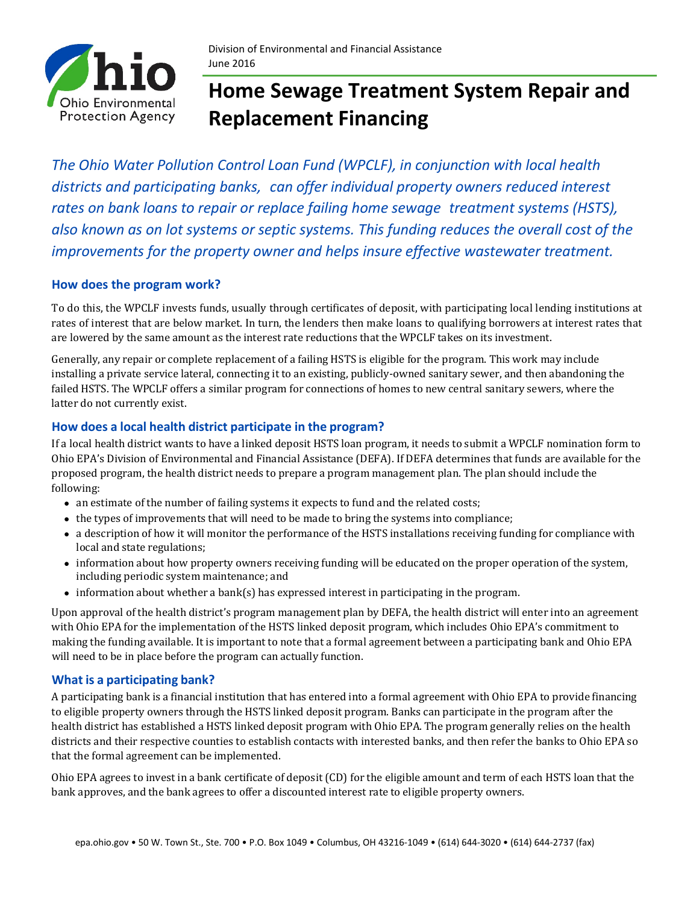

# **Home Sewage Treatment System Repair and Replacement Financing**

*The Ohio Water Pollution Control Loan Fund (WPCLF), in conjunction with local health districts and participating banks, can offer individual property owners reduced interest rates on bank loans to repair or replace failing home sewage treatment systems (HSTS), also known as on lot systems or septic systems. This funding reduces the overall cost of the improvements for the property owner and helps insure effective wastewater treatment.*

### **How does the program work?**

To do this, the WPCLF invests funds, usually through certificates of deposit, with participating local lending institutions at rates of interest that are below market. In turn, the lenders then make loans to qualifying borrowers at interest rates that are lowered by the same amount as the interest rate reductions that the WPCLF takes on its investment.

Generally, any repair or complete replacement of a failing HSTS is eligible for the program. This work may include installing a private service lateral, connecting it to an existing, publicly-owned sanitary sewer, and then abandoning the failed HSTS. The WPCLF offers a similar program for connections of homes to new central sanitary sewers, where the latter do not currently exist.

## **How does a local health district participate in the program?**

If a local health district wants to have a linked deposit HSTS loan program, it needs to submit a WPCLF nomination form to Ohio EPA's Division of Environmental and Financial Assistance (DEFA). If DEFA determines that funds are available for the proposed program, the health district needs to prepare a program management plan. The plan should include the following:

- an estimate of the number of failing systems it expects to fund and the related costs;
- the types of improvements that will need to be made to bring the systems into compliance;
- a description of how it will monitor the performance of the HSTS installations receiving funding for compliance with local and state regulations;
- information about how property owners receiving funding will be educated on the proper operation of the system, including periodic system maintenance; and
- information about whether a bank(s) has expressed interest in participating in the program.

Upon approval of the health district's program management plan by DEFA, the health district will enter into an agreement with Ohio EPA for the implementation of the HSTS linked deposit program, which includes Ohio EPA's commitment to making the funding available. It is important to note that a formal agreement between a participating bank and Ohio EPA will need to be in place before the program can actually function.

#### **What is a participating bank?**

A participating bank is a financial institution that has entered into a formal agreement with Ohio EPA to provide financing to eligible property owners through the HSTS linked deposit program. Banks can participate in the program after the health district has established a HSTS linked deposit program with Ohio EPA. The program generally relies on the health districts and their respective counties to establish contacts with interested banks, and then refer the banks to Ohio EPA so that the formal agreement can be implemented.

Ohio EPA agrees to invest in a bank certificate of deposit (CD) for the eligible amount and term of each HSTS loan that the bank approves, and the bank agrees to offer a discounted interest rate to eligible property owners.